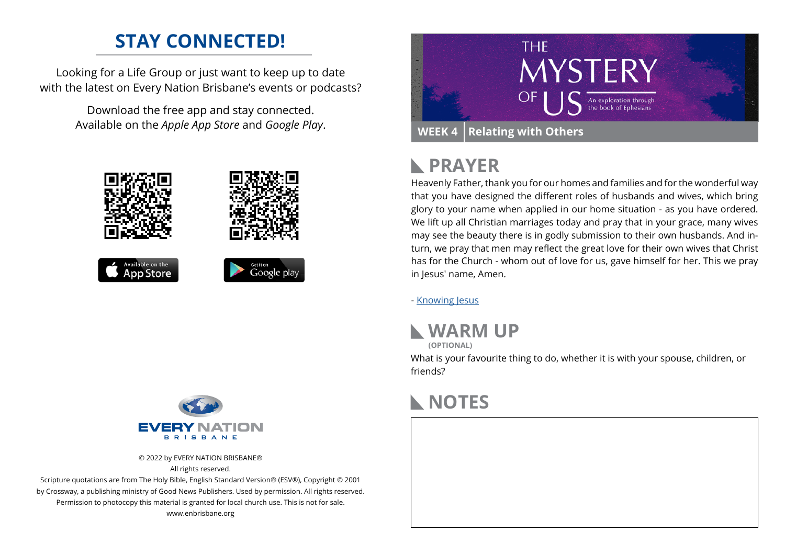### **STAY CONNECTED!**

Looking for a Life Group or just want to keep up to date with the latest on Every Nation Brisbane's events or podcasts?

> Download the free app and stay connected. Available on the *Apple App Store* and *Google Play*.





© 2022 by EVERY NATION BRISBANE® All rights reserved.

Scripture quotations are from The Holy Bible, English Standard Version® (ESV®), Copyright © 2001 by Crossway, a publishing ministry of Good News Publishers. Used by permission. All rights reserved. Permission to photocopy this material is granted for local church use. This is not for sale. www.enbrisbane.org



## **PRAYER**

Heavenly Father, thank you for our homes and families and for the wonderful way that you have designed the different roles of husbands and wives, which bring glory to your name when applied in our home situation - as you have ordered. We lift up all Christian marriages today and pray that in your grace, many wives may see the beauty there is in godly submission to their own husbands. And inturn, we pray that men may reflect the great love for their own wives that Christ has for the Church - whom out of love for us, gave himself for her. This we pray in Jesus' name, Amen.

- [Knowing Jesus](https://prayer.knowing-jesus.com/Ephesians/5)



What is your favourite thing to do, whether it is with your spouse, children, or friends?